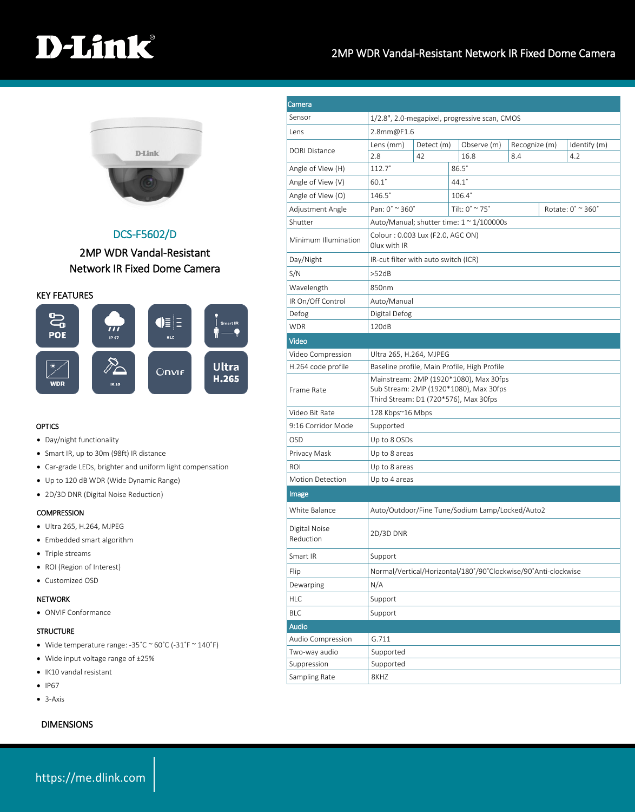# D-Link

### 2MP WDR Vandal-Resistant Network IR Fixed Dome Camera



## DCS-F5602/D

### 2MP WDR Vandal-Resistant Network IR Fixed Dome Camera

KEY FEATURES



#### **OPTICS**

- Day/night functionality
- Smart IR, up to 30m (98ft) IR distance
- Car-grade LEDs, brighter and uniform light compensation
- Up to 120 dB WDR (Wide Dynamic Range)
- 2D/3D DNR (Digital Noise Reduction)

#### **COMPRESSION**

- Ultra 265, H.264, MJPEG
- Embedded smart algorithm
- Triple streams
- ROI (Region of Interest)
- Customized OSD

#### NETWORK

ONVIF Conformance

#### **STRUCTURE**

- Wide temperature range: -35˚C ~ 60˚C (-31˚F ~ 140˚F)
- Wide input voltage range of ±25%
- IK10 vandal resistant
- $\bullet$  IP67
- 3-Axis

#### DIMENSIONS

| Camera<br>Sensor           |                                                                                                                           |  |              |                                  |                      |                   |                     |  |
|----------------------------|---------------------------------------------------------------------------------------------------------------------------|--|--------------|----------------------------------|----------------------|-------------------|---------------------|--|
|                            | 1/2.8", 2.0-megapixel, progressive scan, CMOS                                                                             |  |              |                                  |                      |                   |                     |  |
| Lens                       | 2.8mm@F1.6                                                                                                                |  |              |                                  |                      |                   |                     |  |
| <b>DORI Distance</b>       | Lens (mm)<br>Detect (m)<br>2.8<br>42                                                                                      |  |              | Observe (m)<br>16.8              | Recognize (m)<br>8.4 |                   | Identify (m)<br>4.2 |  |
| Angle of View (H)          | $112.7^\circ$                                                                                                             |  | $86.5^\circ$ |                                  |                      |                   |                     |  |
| Angle of View (V)          | $60.1^\circ$<br>$44.1^\circ$                                                                                              |  |              |                                  |                      |                   |                     |  |
| Angle of View (O)          | $146.5^{\circ}$                                                                                                           |  |              | $106.4^{\circ}$                  |                      |                   |                     |  |
| Adjustment Angle           | Pan: 0° ~ 360°                                                                                                            |  |              | Tilt: $0^\circ \approx 75^\circ$ |                      | Rotate: 0° ~ 360° |                     |  |
| Shutter                    | Auto/Manual; shutter time: 1 ~ 1/100000s                                                                                  |  |              |                                  |                      |                   |                     |  |
| Minimum Illumination       | Colour: 0.003 Lux (F2.0, AGC ON)<br>Olux with IR                                                                          |  |              |                                  |                      |                   |                     |  |
| Day/Night                  | IR-cut filter with auto switch (ICR)                                                                                      |  |              |                                  |                      |                   |                     |  |
| S/N                        | >52dB                                                                                                                     |  |              |                                  |                      |                   |                     |  |
| Wavelength                 | 850nm                                                                                                                     |  |              |                                  |                      |                   |                     |  |
| IR On/Off Control          | Auto/Manual                                                                                                               |  |              |                                  |                      |                   |                     |  |
| Defog                      | Digital Defog                                                                                                             |  |              |                                  |                      |                   |                     |  |
| <b>WDR</b>                 | 120dB                                                                                                                     |  |              |                                  |                      |                   |                     |  |
| Video                      |                                                                                                                           |  |              |                                  |                      |                   |                     |  |
| Video Compression          | Ultra 265, H.264, MJPEG                                                                                                   |  |              |                                  |                      |                   |                     |  |
| H.264 code profile         | Baseline profile, Main Profile, High Profile                                                                              |  |              |                                  |                      |                   |                     |  |
| Frame Rate                 | Mainstream: 2MP (1920*1080), Max 30fps<br>Sub Stream: 2MP (1920*1080), Max 30fps<br>Third Stream: D1 (720*576), Max 30fps |  |              |                                  |                      |                   |                     |  |
| Video Bit Rate             | 128 Kbps~16 Mbps                                                                                                          |  |              |                                  |                      |                   |                     |  |
| 9:16 Corridor Mode         | Supported                                                                                                                 |  |              |                                  |                      |                   |                     |  |
| OSD                        | Up to 8 OSDs                                                                                                              |  |              |                                  |                      |                   |                     |  |
| Privacy Mask               | Up to 8 areas                                                                                                             |  |              |                                  |                      |                   |                     |  |
| <b>ROI</b>                 | Up to 8 areas                                                                                                             |  |              |                                  |                      |                   |                     |  |
| Motion Detection           | Up to 4 areas                                                                                                             |  |              |                                  |                      |                   |                     |  |
| Image                      |                                                                                                                           |  |              |                                  |                      |                   |                     |  |
| White Balance              | Auto/Outdoor/Fine Tune/Sodium Lamp/Locked/Auto2                                                                           |  |              |                                  |                      |                   |                     |  |
| Digital Noise<br>Reduction | 2D/3D DNR                                                                                                                 |  |              |                                  |                      |                   |                     |  |
| Smart IR                   | Support                                                                                                                   |  |              |                                  |                      |                   |                     |  |
| Flip                       | Normal/Vertical/Horizontal/180°/90°Clockwise/90°Anti-clockwise                                                            |  |              |                                  |                      |                   |                     |  |
| Dewarping                  | N/A                                                                                                                       |  |              |                                  |                      |                   |                     |  |
| <b>HLC</b>                 | Support                                                                                                                   |  |              |                                  |                      |                   |                     |  |
| <b>BLC</b>                 | Support                                                                                                                   |  |              |                                  |                      |                   |                     |  |
| <b>Audio</b>               |                                                                                                                           |  |              |                                  |                      |                   |                     |  |
| Audio Compression          | G.711                                                                                                                     |  |              |                                  |                      |                   |                     |  |
| Two-way audio              | Supported                                                                                                                 |  |              |                                  |                      |                   |                     |  |
| Suppression                | Supported                                                                                                                 |  |              |                                  |                      |                   |                     |  |
| Sampling Rate              | 8KHZ                                                                                                                      |  |              |                                  |                      |                   |                     |  |